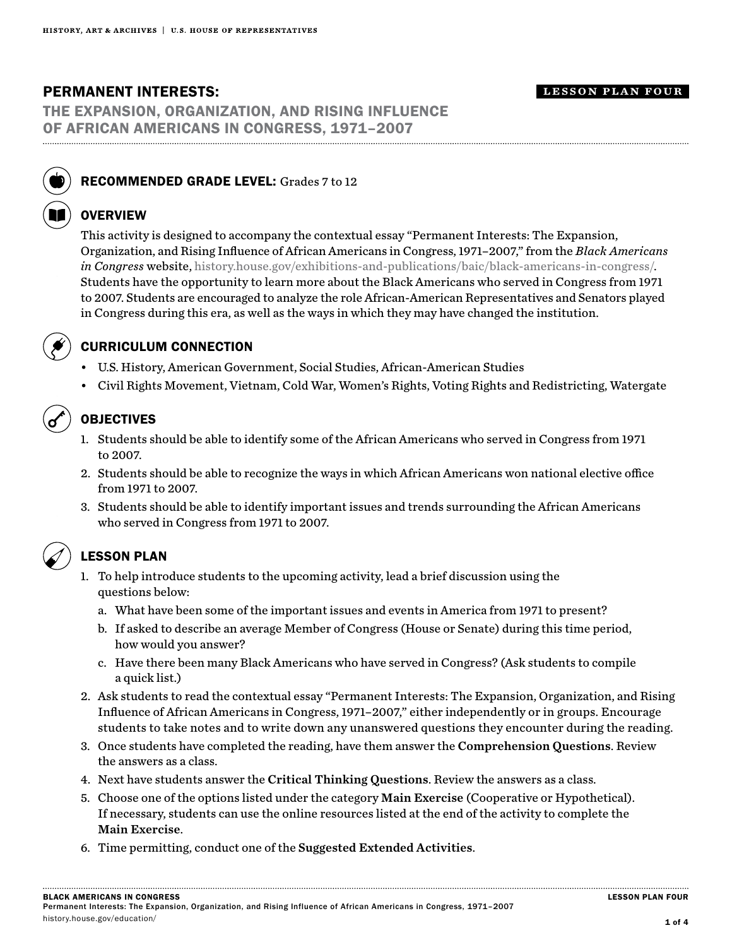# PERMANENT INTERESTS:

#### lesson plan four

THE EXPANSION, ORGANIZATION, AND RISING INFLUENCE OF AFRICAN AMERICANS IN CONGRESS, 1971–2007



## RECOMMENDED GRADE LEVEL: Grades 7 to 12

## **OVERVIEW**

This activity is designed to accompany the contextual essay "Permanent Interests: The Expansion, Organization, and Rising Influence of African Americans in Congress, 1971–2007," from the *Black Americans in Congress* website, history.house.gov/exhibitions-and-publications/baic/black-americans-in-congress/. Students have the opportunity to learn more about the Black Americans who served in Congress from 1971 to 2007. Students are encouraged to analyze the role African-American Representatives and Senators played in Congress during this era, as well as the ways in which they may have changed the institution.



## CURRICULUM CONNECTION

- U.S. History, American Government, Social Studies, African-American Studies
- Civil Rights Movement, Vietnam, Cold War, Women's Rights, Voting Rights and Redistricting, Watergate

# OBJECTIVES

- 1. Students should be able to identify some of the African Americans who served in Congress from 1971 to 2007.
- 2. Students should be able to recognize the ways in which African Americans won national elective office from 1971 to 2007.
- 3. Students should be able to identify important issues and trends surrounding the African Americans who served in Congress from 1971 to 2007.

# LESSON PLAN

- 1. To help introduce students to the upcoming activity, lead a brief discussion using the questions below:
	- a. What have been some of the important issues and events in America from 1971 to present?
	- b. If asked to describe an average Member of Congress (House or Senate) during this time period, how would you answer?
	- c. Have there been many Black Americans who have served in Congress? (Ask students to compile a quick list.)
- 2. Ask students to read the contextual essay "Permanent Interests: The Expansion, Organization, and Rising Influence of African Americans in Congress, 1971–2007," either independently or in groups. Encourage students to take notes and to write down any unanswered questions they encounter during the reading.
- 3. Once students have completed the reading, have them answer the Comprehension Questions. Review the answers as a class.
- 4. Next have students answer the Critical Thinking Questions. Review the answers as a class.
- 5. Choose one of the options listed under the category Main Exercise (Cooperative or Hypothetical). If necessary, students can use the online resources listed at the end of the activity to complete the Main Exercise.
- 6. Time permitting, conduct one of the Suggested Extended Activities.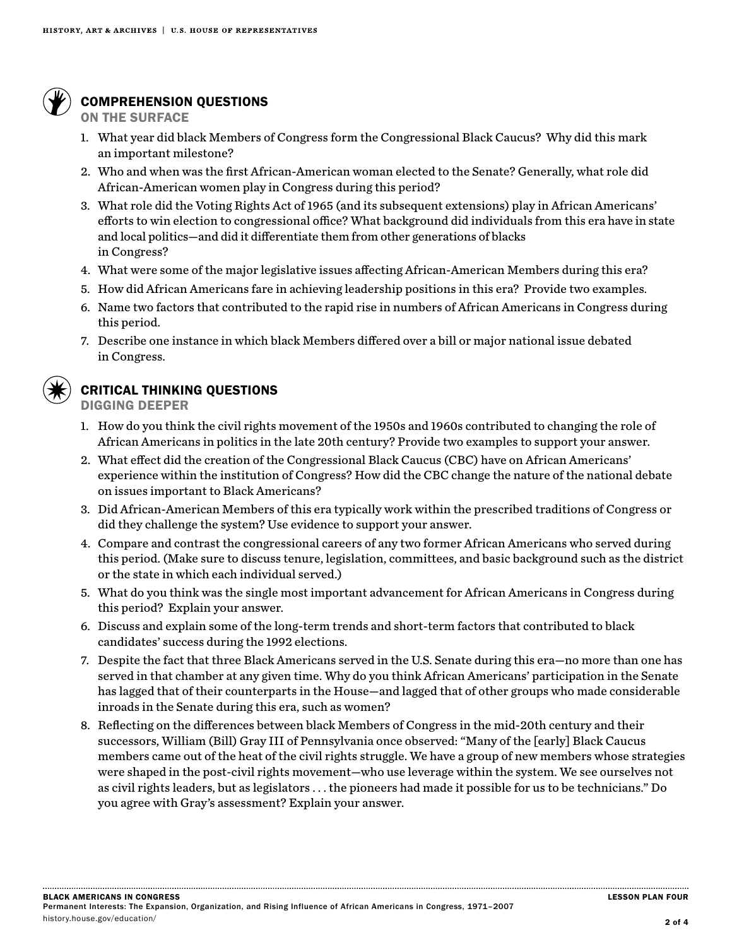

# COMPREHENSION QUESTIONS

ON THE SURFACE

- 1. What year did black Members of Congress form the Congressional Black Caucus? Why did this mark an important milestone?
- 2. Who and when was the first African-American woman elected to the Senate? Generally, what role did African-American women play in Congress during this period?
- 3. What role did the Voting Rights Act of 1965 (and its subsequent extensions) play in African Americans' efforts to win election to congressional office? What background did individuals from this era have in state and local politics—and did it differentiate them from other generations of blacks in Congress?
- 4. What were some of the major legislative issues affecting African-American Members during this era?
- 5. How did African Americans fare in achieving leadership positions in this era? Provide two examples.
- 6. Name two factors that contributed to the rapid rise in numbers of African Americans in Congress during this period.
- 7. Describe one instance in which black Members differed over a bill or major national issue debated in Congress.



# CRITICAL THINKING QUESTIONS

DIGGING DEEPER

- 1. How do you think the civil rights movement of the 1950s and 1960s contributed to changing the role of African Americans in politics in the late 20th century? Provide two examples to support your answer.
- 2. What effect did the creation of the Congressional Black Caucus (CBC) have on African Americans' experience within the institution of Congress? How did the CBC change the nature of the national debate on issues important to Black Americans?
- 3. Did African-American Members of this era typically work within the prescribed traditions of Congress or did they challenge the system? Use evidence to support your answer.
- 4. Compare and contrast the congressional careers of any two former African Americans who served during this period. (Make sure to discuss tenure, legislation, committees, and basic background such as the district or the state in which each individual served.)
- 5. What do you think was the single most important advancement for African Americans in Congress during this period? Explain your answer.
- 6. Discuss and explain some of the long-term trends and short-term factors that contributed to black candidates' success during the 1992 elections.
- 7. Despite the fact that three Black Americans served in the U.S. Senate during this era—no more than one has served in that chamber at any given time. Why do you think African Americans' participation in the Senate has lagged that of their counterparts in the House—and lagged that of other groups who made considerable inroads in the Senate during this era, such as women?
- 8. Reflecting on the differences between black Members of Congress in the mid-20th century and their successors, William (Bill) Gray III of Pennsylvania once observed: "Many of the [early] Black Caucus members came out of the heat of the civil rights struggle. We have a group of new members whose strategies were shaped in the post-civil rights movement—who use leverage within the system. We see ourselves not as civil rights leaders, but as legislators . . . the pioneers had made it possible for us to be technicians." Do you agree with Gray's assessment? Explain your answer.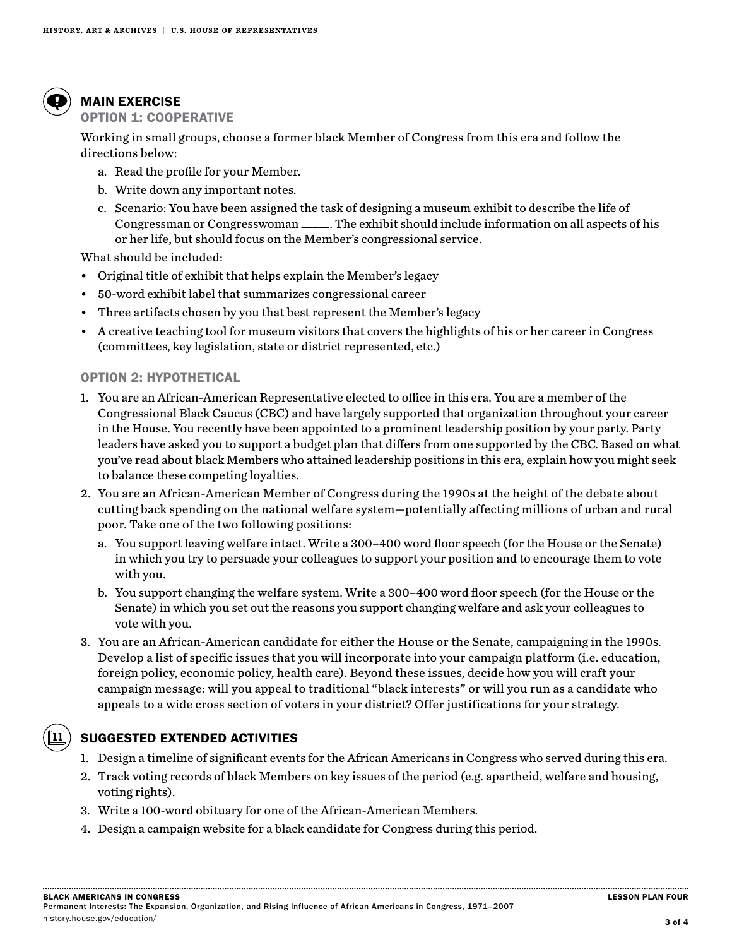

# MAIN EXERCISE

## OPTION 1: COOPERATIVE

Working in small groups, choose a former black Member of Congress from this era and follow the directions below:

- a. Read the profile for your Member.
- b. Write down any important notes.
- c. Scenario: You have been assigned the task of designing a museum exhibit to describe the life of Congressman or Congresswoman \_\_\_\_\_. The exhibit should include information on all aspects of his or her life, but should focus on the Member's congressional service.

What should be included:

- Original title of exhibit that helps explain the Member's legacy
- 50-word exhibit label that summarizes congressional career
- Three artifacts chosen by you that best represent the Member's legacy
- A creative teaching tool for museum visitors that covers the highlights of his or her career in Congress (committees, key legislation, state or district represented, etc.)

#### OPTION 2: HYPOTHETICAL

- 1. You are an African-American Representative elected to office in this era. You are a member of the Congressional Black Caucus (CBC) and have largely supported that organization throughout your career in the House. You recently have been appointed to a prominent leadership position by your party. Party leaders have asked you to support a budget plan that differs from one supported by the CBC. Based on what you've read about black Members who attained leadership positions in this era, explain how you might seek to balance these competing loyalties.
- 2. You are an African-American Member of Congress during the 1990s at the height of the debate about cutting back spending on the national welfare system—potentially affecting millions of urban and rural poor. Take one of the two following positions:
	- a. You support leaving welfare intact. Write a 300–400 word floor speech (for the House or the Senate) in which you try to persuade your colleagues to support your position and to encourage them to vote with you.
	- b. You support changing the welfare system. Write a 300–400 word floor speech (for the House or the Senate) in which you set out the reasons you support changing welfare and ask your colleagues to vote with you.
- 3. You are an African-American candidate for either the House or the Senate, campaigning in the 1990s. Develop a list of specific issues that you will incorporate into your campaign platform (i.e. education, foreign policy, economic policy, health care). Beyond these issues, decide how you will craft your campaign message: will you appeal to traditional "black interests" or will you run as a candidate who appeals to a wide cross section of voters in your district? Offer justifications for your strategy.



# SUGGESTED EXTENDED ACTIVITIES

- 1. Design a timeline of significant events for the African Americans in Congress who served during this era.
- 2. Track voting records of black Members on key issues of the period (e.g. apartheid, welfare and housing, voting rights).
- 3. Write a 100-word obituary for one of the African-American Members.
- 4. Design a campaign website for a black candidate for Congress during this period.